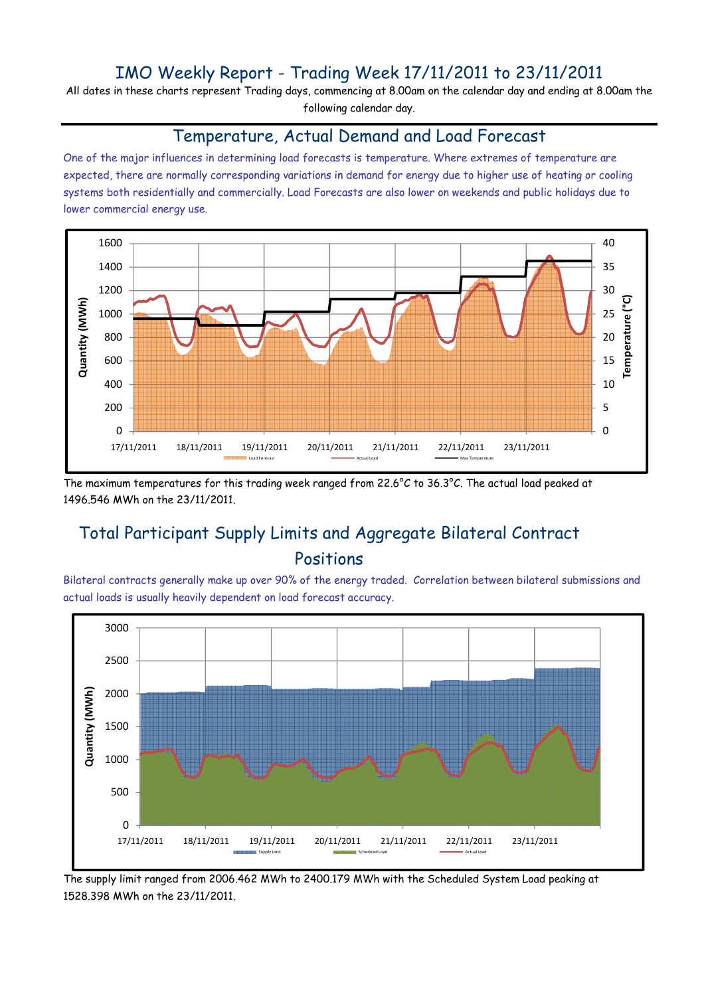# IMO Weekly Report - Trading Week 17/11/2011 to 23/11/2011

All dates in these charts represent Trading days, commencing at 8.00am on the calendar day and ending at 8.00am the following calendar day.

#### Temperature, Actual Demand and Load Forecast

One of the major influences in determining load forecasts is temperature. Where extremes of temperature are expected, there are normally corresponding variations in demand for energy due to higher use of heating or cooling systems both residentially and commercially. Load Forecasts are also lower on weekends and public holidays due to lower commercial energy use.



The maximum temperatures for this trading week ranged from 22.6°C to 36.3°C. The actual load peaked at 1496.546 MWh on the 23/11/2011.

# Total Participant Supply Limits and Aggregate Bilateral Contract Positions

Bilateral contracts generally make up over 90% of the energy traded. Correlation between bilateral submissions and actual loads is usually heavily dependent on load forecast accuracy.



The supply limit ranged from 2006.462 MWh to 2400.179 MWh with the Scheduled System Load peaking at 1528.398 MWh on the 23/11/2011.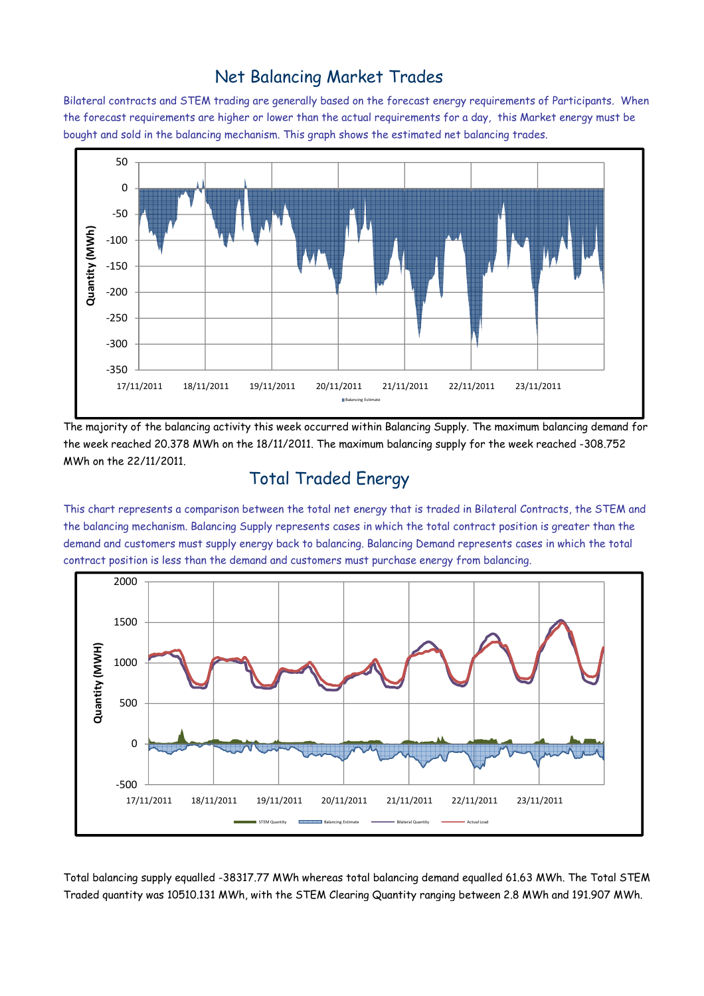### Net Balancing Market Trades

Bilateral contracts and STEM trading are generally based on the forecast energy requirements of Participants. When the forecast requirements are higher or lower than the actual requirements for a day, this Market energy must be bought and sold in the balancing mechanism. This graph shows the estimated net balancing trades.



The majority of the balancing activity this week occurred within Balancing Supply. The maximum balancing demand for the week reached 20.378 MWh on the 18/11/2011. The maximum balancing supply for the week reached -308.752 MWh on the 22/11/2011.

# Total Traded Energy

This chart represents a comparison between the total net energy that is traded in Bilateral Contracts, the STEM and the balancing mechanism. Balancing Supply represents cases in which the total contract position is greater than the demand and customers must supply energy back to balancing. Balancing Demand represents cases in which the total contract position is less than the demand and customers must purchase energy from balancing.



Total balancing supply equalled -38317.77 MWh whereas total balancing demand equalled 61.63 MWh. The Total STEM Traded quantity was 10510.131 MWh, with the STEM Clearing Quantity ranging between 2.8 MWh and 191.907 MWh.